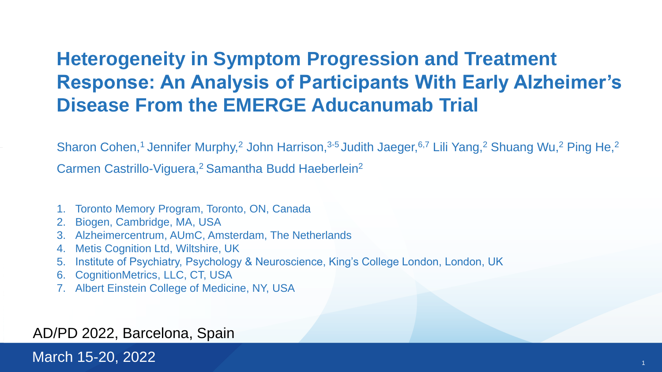#### **Heterogeneity in Symptom Progression and Treatment Response: An Analysis of Participants With Early Alzheimer's Disease From the EMERGE Aducanumab Trial**

Sharon Cohen,<sup>1</sup> Jennifer Murphy,<sup>2</sup> John Harrison,<sup>3-5</sup> Judith Jaeger,<sup>6,7</sup> Lili Yang,<sup>2</sup> Shuang Wu,<sup>2</sup> Ping He,<sup>2</sup>

Carmen Castrillo-Viguera,<sup>2</sup> Samantha Budd Haeberlein<sup>2</sup>

- 1. Toronto Memory Program, Toronto, ON, Canada
- 2. Biogen, Cambridge, MA, USA
- 3. Alzheimercentrum, AUmC, Amsterdam, The Netherlands
- 4. Metis Cognition Ltd, Wiltshire, UK
- 5. Institute of Psychiatry, Psychology & Neuroscience, King's College London, London, UK
- 6. CognitionMetrics, LLC, CT, USA
- 7. Albert Einstein College of Medicine, NY, USA

#### AD/PD 2022, Barcelona, Spain

March 15 <sup>1</sup> -20, 2022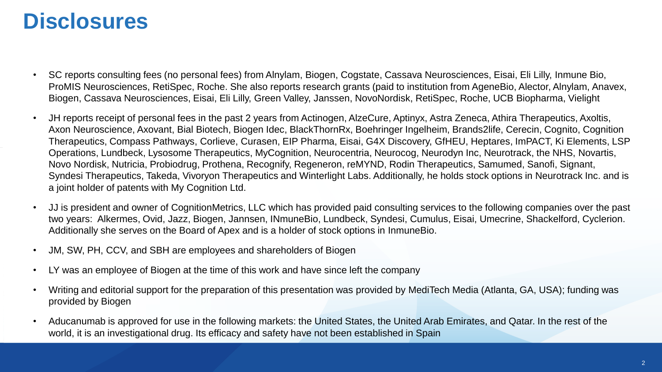### **Disclosures**

- SC reports consulting fees (no personal fees) from Alnylam, Biogen, Cogstate, Cassava Neurosciences, Eisai, Eli Lilly, Inmune Bio, ProMIS Neurosciences, RetiSpec, Roche. She also reports research grants (paid to institution from AgeneBio, Alector, Alnylam, Anavex, Biogen, Cassava Neurosciences, Eisai, Eli Lilly, Green Valley, Janssen, NovoNordisk, RetiSpec, Roche, UCB Biopharma, Vielight
- JH reports receipt of personal fees in the past 2 years from Actinogen, AlzeCure, Aptinyx, Astra Zeneca, Athira Therapeutics, Axoltis, Axon Neuroscience, Axovant, Bial Biotech, Biogen Idec, BlackThornRx, Boehringer Ingelheim, Brands2life, Cerecin, Cognito, Cognition Therapeutics, Compass Pathways, Corlieve, Curasen, EIP Pharma, Eisai, G4X Discovery, GfHEU, Heptares, ImPACT, Ki Elements, LSP Operations, Lundbeck, Lysosome Therapeutics, MyCognition, Neurocentria, Neurocog, Neurodyn Inc, Neurotrack, the NHS, Novartis, Novo Nordisk, Nutricia, Probiodrug, Prothena, Recognify, Regeneron, reMYND, Rodin Therapeutics, Samumed, Sanofi, Signant, Syndesi Therapeutics, Takeda, Vivoryon Therapeutics and Winterlight Labs. Additionally, he holds stock options in Neurotrack Inc. and is a joint holder of patents with My Cognition Ltd.
- JJ is president and owner of CognitionMetrics, LLC which has provided paid consulting services to the following companies over the past two years: Alkermes, Ovid, Jazz, Biogen, Jannsen, INmuneBio, Lundbeck, Syndesi, Cumulus, Eisai, Umecrine, Shackelford, Cyclerion. Additionally she serves on the Board of Apex and is a holder of stock options in InmuneBio.
- JM, SW, PH, CCV, and SBH are employees and shareholders of Biogen
- LY was an employee of Biogen at the time of this work and have since left the company
- Writing and editorial support for the preparation of this presentation was provided by MediTech Media (Atlanta, GA, USA); funding was provided by Biogen
- Aducanumab is approved for use in the following markets: the United States, the United Arab Emirates, and Qatar. In the rest of the world, it is an investigational drug. Its efficacy and safety have not been established in Spain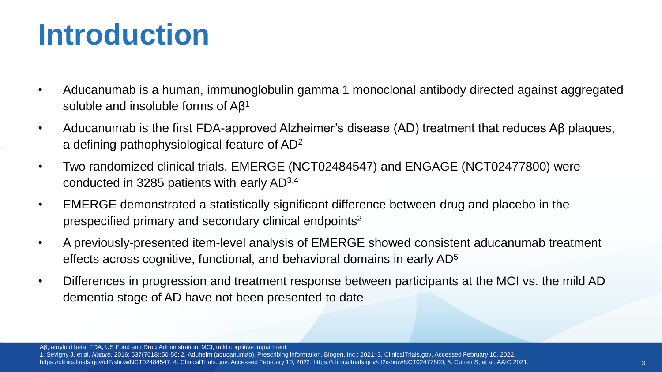# **Introduction**

- Aducanumab is a human, immunoglobulin gamma 1 monoclonal antibody directed against aggregated soluble and insoluble forms of  $A\beta^1$
- Aducanumab is the first FDA-approved Alzheimer's disease (AD) treatment that reduces Aβ plaques, a defining pathophysiological feature of AD<sup>2</sup>
- Two randomized clinical trials, EMERGE (NCT02484547) and ENGAGE (NCT02477800) were conducted in 3285 patients with early AD3,4
- EMERGE demonstrated a statistically significant difference between drug and placebo in the prespecified primary and secondary clinical endpoints<sup>2</sup>
- A previously-presented item-level analysis of EMERGE showed consistent aducanumab treatment effects across cognitive, functional, and behavioral domains in early AD<sup>5</sup>
- Differences in progression and treatment response between participants at the MCI vs. the mild AD dementia stage of AD have not been presented to date

Aβ, amyloid beta; FDA, US Food and Drug Administration; MCI, mild cognitive impairment.

1. Sevigny J, et al. *Nature.* 2016; 537(7618):50-56; 2. Aduhelm (aducanumab). Prescribing information. Biogen, Inc.; 2021; 3. ClinicalTrials.gov. Accessed February 10, 2022. https://clinicaltrials.gov/ct2/show/NCT02484547; 4. ClinicalTrials.gov. Accessed February 10, 2022. https://clinicaltrials.gov/ct2/show/NCT02477800; 5. Cohen S, et al. AAIC 2021.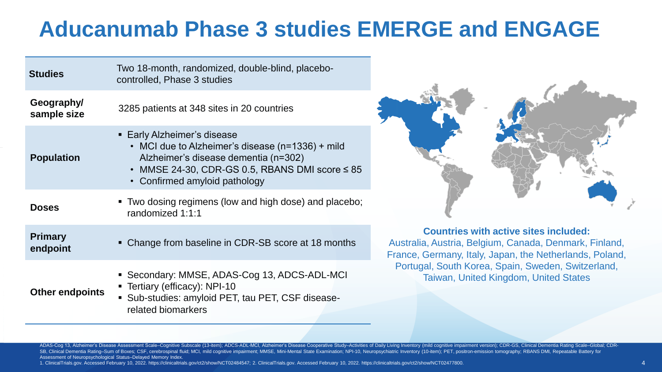### **Aducanumab Phase 3 studies EMERGE and ENGAGE**

| <b>Studies</b>             | Two 18-month, randomized, double-blind, placebo-<br>controlled, Phase 3 studies                                                                                                                                       |  |
|----------------------------|-----------------------------------------------------------------------------------------------------------------------------------------------------------------------------------------------------------------------|--|
| Geography/<br>sample size  | 3285 patients at 348 sites in 20 countries                                                                                                                                                                            |  |
| <b>Population</b>          | • Early Alzheimer's disease<br>• MCI due to Alzheimer's disease (n=1336) + mild<br>Alzheimer's disease dementia (n=302)<br>$\cdot$ MMSE 24-30, CDR-GS 0.5, RBANS DMI score $\leq 85$<br>• Confirmed amyloid pathology |  |
| <b>Doses</b>               | • Two dosing regimens (low and high dose) and placebo;<br>randomized 1:1:1                                                                                                                                            |  |
| <b>Primary</b><br>endpoint | • Change from baseline in CDR-SB score at 18 months                                                                                                                                                                   |  |
| <b>Other endpoints</b>     | • Secondary: MMSE, ADAS-Cog 13, ADCS-ADL-MCI<br>• Tertiary (efficacy): NPI-10<br>• Sub-studies: amyloid PET, tau PET, CSF disease-<br>related biomarkers                                                              |  |



**Countries with active sites included:** Australia, Austria, Belgium, Canada, Denmark, Finland, France, Germany, Italy, Japan, the Netherlands, Poland, Portugal, South Korea, Spain, Sweden, Switzerland, Taiwan, United Kingdom, United States

ADAS-Cog 13, Alzheimer's Disease Assessment Scale-Cognitive Subscale (13-item); ADCS-ADL-MCI, Alzheimer's Disease Cooperative Study-Activities of Daily Living Inventory (mild cognitive impairment version); CDR-GS, Clinical SB, Clinical Dementia Rating-Sum of Boxes; CSF, cerebrospinal fluid; MCI, mild cognitive impairment; MMSE, Mini-Mental State Examination; NPI-10, Neuropsychiatric Inventory (10-item); PET, positron-emission tomography; RBA Assessment of Neuropsychological Status–Delayed Memory Index.

1. ClinicalTrials.gov. Accessed February 10, 2022. https://clinicaltrials.gov/ct2/show/NCT02484547; 2. ClinicalTrials.gov. Accessed February 10, 2022. https://clinicaltrials.gov/ct2/show/NCT02477800.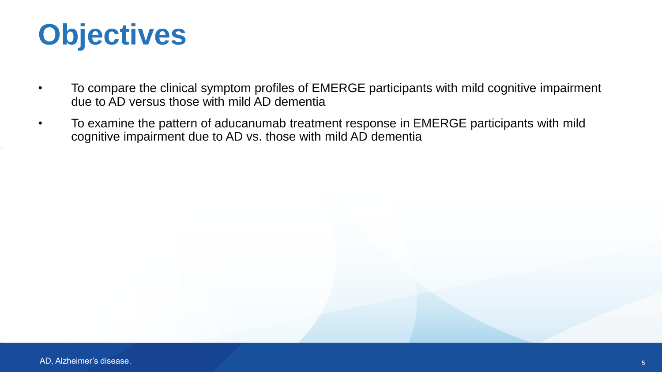

- To compare the clinical symptom profiles of EMERGE participants with mild cognitive impairment due to AD versus those with mild AD dementia
- To examine the pattern of aducanumab treatment response in EMERGE participants with mild cognitive impairment due to AD vs. those with mild AD dementia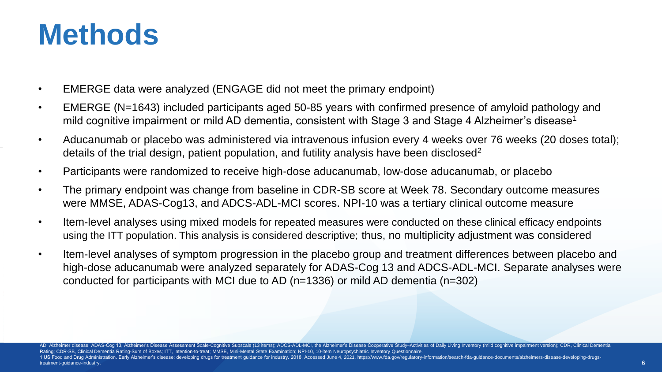## **Methods**

- EMERGE data were analyzed (ENGAGE did not meet the primary endpoint)
- EMERGE (N=1643) included participants aged 50-85 years with confirmed presence of amyloid pathology and mild cognitive impairment or mild AD dementia, consistent with Stage 3 and Stage 4 Alzheimer's disease<sup>1</sup>
- Aducanumab or placebo was administered via intravenous infusion every 4 weeks over 76 weeks (20 doses total); details of the trial design, patient population, and futility analysis have been disclosed<sup>2</sup>
- Participants were randomized to receive high-dose aducanumab, low-dose aducanumab, or placebo
- The primary endpoint was change from baseline in CDR-SB score at Week 78. Secondary outcome measures were MMSE, ADAS-Cog13, and ADCS-ADL-MCI scores. NPI-10 was a tertiary clinical outcome measure
- Item-level analyses using mixed models for repeated measures were conducted on these clinical efficacy endpoints using the ITT population. This analysis is considered descriptive; thus, no multiplicity adjustment was considered
- Item-level analyses of symptom progression in the placebo group and treatment differences between placebo and high-dose aducanumab were analyzed separately for ADAS-Cog 13 and ADCS-ADL-MCI. Separate analyses were conducted for participants with MCI due to AD (n=1336) or mild AD dementia (n=302)

AD, Alzheimer disease; ADAS-Coq 13, Alzheimer's Disease Assessment Scale-Cognitive Subscale (13 items); ADCS-ADL-MCI, the Alzheimer's Disease Cooperative Study-Activities of Daily Living Inventory (mild cognitive impairmen Rating; CDR-SB, Clinical Dementia Rating-Sum of Boxes; ITT, intention-to-treat; MMSE, Mini-Mental State Examination; NPI-10, 10-item Neuropsychiatric Inventory Questionnaire. 1.US Food and Drug Administration. Early Alzheimer's disease: developing drugs for treatment guidance for industry. 2018. Accessed June 4, 2021. https://www.fda.gov/regulatory-information/search-fda-guidance-documents/alzh treatment-guidance-industry.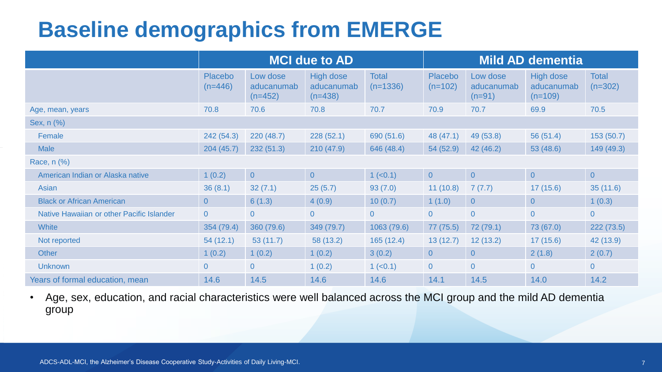### **Baseline demographics from EMERGE**

|                                           |                             |                                     | <b>MCI due to AD</b>                 |                            | <b>Mild AD dementia</b>     |                                    |                                      |                           |
|-------------------------------------------|-----------------------------|-------------------------------------|--------------------------------------|----------------------------|-----------------------------|------------------------------------|--------------------------------------|---------------------------|
|                                           | <b>Placebo</b><br>$(n=446)$ | Low dose<br>aducanumab<br>$(n=452)$ | High dose<br>aducanumab<br>$(n=438)$ | <b>Total</b><br>$(n=1336)$ | <b>Placebo</b><br>$(n=102)$ | Low dose<br>aducanumab<br>$(n=91)$ | High dose<br>aducanumab<br>$(n=109)$ | <b>Total</b><br>$(n=302)$ |
| Age, mean, years                          | 70.8                        | 70.6                                | 70.8                                 | 70.7                       | 70.9                        | 70.7                               | 69.9                                 | 70.5                      |
| Sex, n (%)                                |                             |                                     |                                      |                            |                             |                                    |                                      |                           |
| Female                                    | 242 (54.3)                  | 220(48.7)                           | 228(52.1)                            | 690 (51.6)                 | 48 (47.1)                   | 49 (53.8)                          | 56(51.4)                             | 153(50.7)                 |
| <b>Male</b>                               | 204(45.7)                   | 232(51.3)                           | 210(47.9)                            | 646 (48.4)                 | 54(52.9)                    | 42 (46.2)                          | 53(48.6)                             | 149(49.3)                 |
| Race, n (%)                               |                             |                                     |                                      |                            |                             |                                    |                                      |                           |
| American Indian or Alaska native          | 1(0.2)                      | $\overline{0}$                      | $\overline{0}$                       | $1 (-0.1)$                 | $\overline{0}$              | $\overline{0}$                     | $\overline{0}$                       | $\overline{0}$            |
| Asian                                     | 36(8.1)                     | 32(7.1)                             | 25(5.7)                              | 93(7.0)                    | 11(10.8)                    | 7(7.7)                             | 17(15.6)                             | 35(11.6)                  |
| <b>Black or African American</b>          | $\overline{0}$              | 6(1.3)                              | 4(0.9)                               | 10(0.7)                    | 1(1.0)                      | $\overline{0}$                     | $\overline{0}$                       | 1(0.3)                    |
| Native Hawaiian or other Pacific Islander | $\overline{0}$              | $\overline{0}$                      | $\overline{0}$                       | $\overline{0}$             | $\overline{0}$              | $\overline{0}$                     | $\overline{0}$                       | $\overline{0}$            |
| White                                     | 354 (79.4)                  | 360 (79.6)                          | 349 (79.7)                           | 1063 (79.6)                | 77 (75.5)                   | 72 (79.1)                          | 73 (67.0)                            | 222(73.5)                 |
| Not reported                              | 54(12.1)                    | 53(11.7)                            | 58 (13.2)                            | 165(12.4)                  | 13(12.7)                    | 12(13.2)                           | 17(15.6)                             | 42 (13.9)                 |
| <b>Other</b>                              | 1(0.2)                      | 1(0.2)                              | 1(0.2)                               | 3(0.2)                     | $\overline{0}$              | $\overline{0}$                     | 2(1.8)                               | 2(0.7)                    |
| <b>Unknown</b>                            | $\overline{0}$              | $\overline{0}$                      | 1(0.2)                               | $1$ ( $<$ 0.1)             | $\overline{0}$              | $\overline{0}$                     | $\overline{0}$                       | $\overline{0}$            |
| Years of formal education, mean           | 14.6                        | 14.5                                | 14.6                                 | 14.6                       | 14.1                        | 14.5                               | 14.0                                 | 14.2                      |

• Age, sex, education, and racial characteristics were well balanced across the MCI group and the mild AD dementia group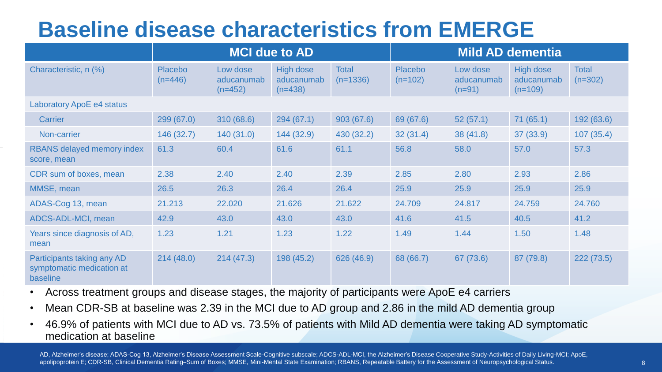### **Baseline disease characteristics from EMERGE**

|                                                                     | <b>MCI due to AD</b> |                                     |                                             |                            | <b>Mild AD dementia</b>     |                                    |                                      |                           |  |
|---------------------------------------------------------------------|----------------------|-------------------------------------|---------------------------------------------|----------------------------|-----------------------------|------------------------------------|--------------------------------------|---------------------------|--|
| Characteristic, n (%)                                               | Placebo<br>$(n=446)$ | Low dose<br>aducanumab<br>$(n=452)$ | <b>High dose</b><br>aducanumab<br>$(n=438)$ | <b>Total</b><br>$(n=1336)$ | <b>Placebo</b><br>$(n=102)$ | Low dose<br>aducanumab<br>$(n=91)$ | High dose<br>aducanumab<br>$(n=109)$ | <b>Total</b><br>$(n=302)$ |  |
| Laboratory ApoE e4 status                                           |                      |                                     |                                             |                            |                             |                                    |                                      |                           |  |
| Carrier                                                             | 299(67.0)            | 310 (68.6)                          | 294(67.1)                                   | 903(67.6)                  | 69 (67.6)                   | 52(57.1)                           | 71(65.1)                             | 192 (63.6)                |  |
| Non-carrier                                                         | 146 (32.7)           | 140(31.0)                           | 144 (32.9)                                  | 430 (32.2)                 | 32(31.4)                    | 38(41.8)                           | 37 (33.9)                            | 107(35.4)                 |  |
| <b>RBANS</b> delayed memory index<br>score, mean                    | 61.3                 | 60.4                                | 61.6                                        | 61.1                       | 56.8                        | 58.0                               | 57.0                                 | 57.3                      |  |
| CDR sum of boxes, mean                                              | 2.38                 | 2.40                                | 2.40                                        | 2.39                       | 2.85                        | 2.80                               | 2.93                                 | 2.86                      |  |
| MMSE, mean                                                          | 26.5                 | 26.3                                | 26.4                                        | 26.4                       | 25.9                        | 25.9                               | 25.9                                 | 25.9                      |  |
| ADAS-Cog 13, mean                                                   | 21.213               | 22.020                              | 21.626                                      | 21.622                     | 24.709                      | 24.817                             | 24.759                               | 24.760                    |  |
| ADCS-ADL-MCI, mean                                                  | 42.9                 | 43.0                                | 43.0                                        | 43.0                       | 41.6                        | 41.5                               | 40.5                                 | 41.2                      |  |
| Years since diagnosis of AD,<br>mean                                | 1.23                 | 1.21                                | 1.23                                        | 1.22                       | 1.49                        | 1.44                               | 1.50                                 | 1.48                      |  |
| Participants taking any AD<br>symptomatic medication at<br>baseline | 214(48.0)            | 214(47.3)                           | 198 (45.2)                                  | 626 (46.9)                 | 68 (66.7)                   | 67 (73.6)                          | 87 (79.8)                            | 222(73.5)                 |  |

- Across treatment groups and disease stages, the majority of participants were ApoE e4 carriers
- Mean CDR-SB at baseline was 2.39 in the MCI due to AD group and 2.86 in the mild AD dementia group
- 46.9% of patients with MCI due to AD vs. 73.5% of patients with Mild AD dementia were taking AD symptomatic medication at baseline

AD, Alzheimer's disease; ADAS-Cog 13, Alzheimer's Disease Assessment Scale-Cognitive subscale; ADCS-ADL-MCI, the Alzheimer's Disease Cooperative Study-Activities of Daily Living-MCI; ApoE, apolipoprotein E; CDR-SB, Clinical Dementia Rating–Sum of Boxes; MMSE, Mini-Mental State Examination; RBANS, Repeatable Battery for the Assessment of Neuropsychological Status.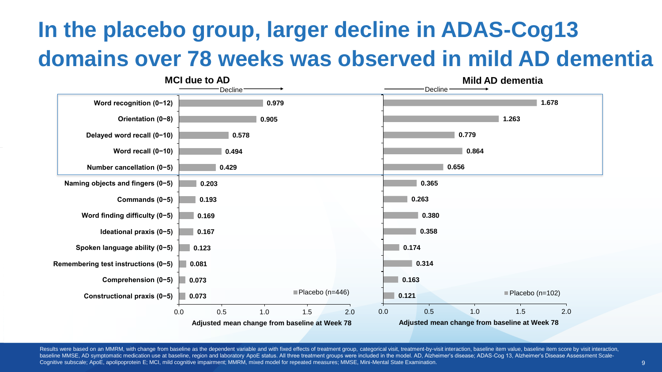## **In the placebo group, larger decline in ADAS-Cog13 domains over 78 weeks was observed in mild AD dementia**



Results were based on an MMRM, with change from baseline as the dependent variable and with fixed effects of treatment group, categorical visit, treatment-by-visit interaction, baseline item value, baseline item score by v baseline MMSE, AD symptomatic medication use at baseline, region and laboratory ApoE status. All three treatment groups were included in the model. AD, Alzheimer's disease; ADAS-Cog 13, Alzheimer's Disease Assessment Scale Cognitive subscale; ApoE, apolipoprotein E; MCI, mild cognitive impairment; MMRM, mixed model for repeated measures; MMSE, Mini-Mental State Examination.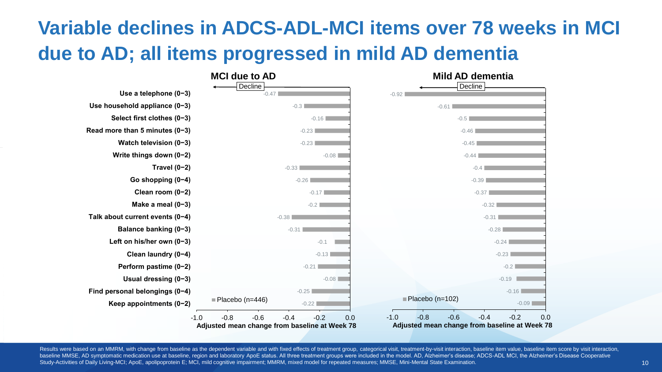### **Variable declines in ADCS-ADL-MCI items over 78 weeks in MCI due to AD; all items progressed in mild AD dementia**



Results were based on an MMRM, with change from baseline as the dependent variable and with fixed effects of treatment group, categorical visit, treatment-by-visit interaction, baseline item value, baseline item score by v baseline MMSE, AD symptomatic medication use at baseline, region and laboratory ApoE status. All three treatment groups were included in the model. AD, Alzheimer's disease; ADCS-ADL MCI, the Alzheimer's Disease Cooperative Study-Activities of Daily Living-MCI; ApoE, apolipoprotein E; MCI, mild cognitive impairment; MMRM, mixed model for repeated measures; MMSE, Mini-Mental State Examination.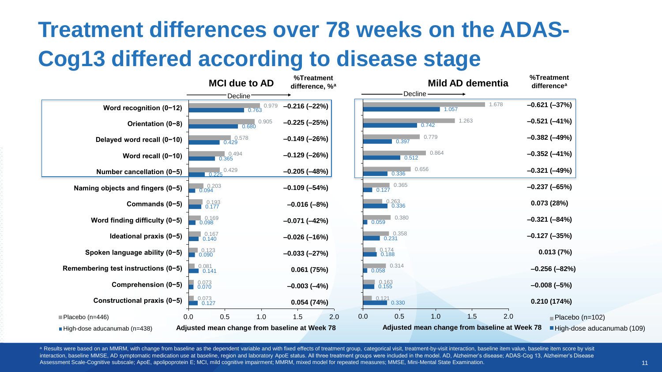## **Treatment differences over 78 weeks on the ADAS-Cog13 differed according to disease stage**



a Results were based on an MMRM, with change from baseline as the dependent variable and with fixed effects of treatment group, categorical visit, treatment-by-visit interaction, baseline item value, baseline item score by interaction, baseline MMSE, AD symptomatic medication use at baseline, region and laboratory ApoE status. All three treatment groups were included in the model. AD, Alzheimer's disease; ADAS-Cog 13, Alzheimer's Disease Assessment Scale-Cognitive subscale; ApoE, apolipoprotein E; MCI, mild cognitive impairment; MMRM, mixed model for repeated measures; MMSE, Mini-Mental State Examination.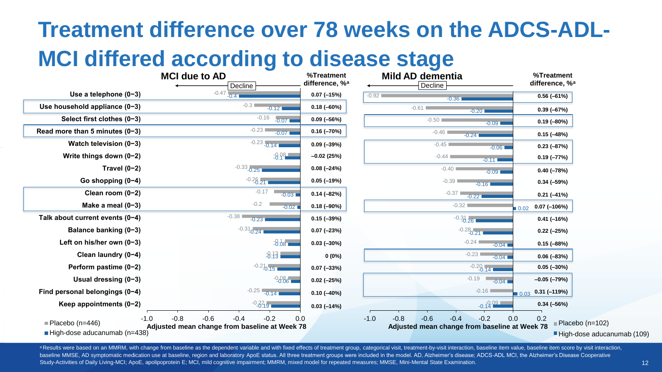### **Treatment difference over 78 weeks on the ADCS-ADL-**

### **MCI differed according to disease stage**

|                                     | %Treatment<br>difference, % <sup>a</sup> | <b>Mild AD dementia</b><br>Decline                                                                     | %Treatment<br>difference, % <sup>a</sup>                                |
|-------------------------------------|------------------------------------------|--------------------------------------------------------------------------------------------------------|-------------------------------------------------------------------------|
|                                     | $0.07$ (-15%)                            | $-0.92$<br>$-0.36$                                                                                     | $0.56(-61%)$                                                            |
| 0.12                                | $0.18(-60%)$                             | $-0.61$<br>$-0.201$                                                                                    | $0.39(-67%)$                                                            |
| $-0.07$                             | $0.09(-56%)$                             | $-0.50$<br>$-0.091$                                                                                    | $0.19(-80%)$                                                            |
| $-0.07$                             | $0.16(-70%)$                             | $-0.46$<br>$-0.24$                                                                                     | $0.15 (-48%)$                                                           |
| .141                                | $0.09(-39%)$                             | $-0.45$<br>$-0.06$                                                                                     | $0.23 (-87%)$                                                           |
| $-8.98$                             | $-0.02(25%)$                             | $-0.44$<br>$-0.11$                                                                                     | $0.19 (-77%)$                                                           |
|                                     | $0.08 (-24%)$                            | $-0.40$<br>$-0.09$                                                                                     | $0.40 (-78%)$                                                           |
|                                     | $0.05(-19%)$                             | $-0.39$<br>$-0.16$                                                                                     | $0.34 (-59%)$                                                           |
| $-0.03$                             | $0.14 (-82%)$                            | $-0.37$<br>$-0.221$                                                                                    | $0.21 (-41%)$                                                           |
| $-0.02$                             | $0.18(-90%)$                             | $-0.32$                                                                                                | $0.07$ (-106%)<br>$\blacksquare$ 0.02                                   |
|                                     | $0.15(-39%)$                             | $-0.31$ <sub>26</sub>                                                                                  | $0.41 (-16%)$                                                           |
|                                     | $0.07 (-23%)$                            | $-0.28$ <sub>0.21</sub>                                                                                | $0.22 (-25%)$                                                           |
| $-8.08$                             | $0.03(-30%)$                             | $-0.24$<br>$-0.04$                                                                                     | $0.15(-88%)$                                                            |
| 3:13                                | $0(0\%)$                                 | $-0.23$<br>$-0.04$                                                                                     | $0.06 (-83%)$                                                           |
| 15 <sub>1</sub>                     | $0.07 (-33%)$                            | $-0.20$ <sub>-0.14</sub>                                                                               | $0.05 (-30\%)$                                                          |
| $-0.08 -$                           | $0.02 (-25%)$                            | $-0.19$<br>$-0.04$                                                                                     | $-0.05$ ( $-79%$ )                                                      |
| .141                                | $0.10 (-40%)$                            | $-0.16$                                                                                                | $0.31 (-119%)$<br>$\Box 0.03$                                           |
|                                     | $0.03(-14%)$                             | $-0.19.09$                                                                                             | $0.34 (-56%)$                                                           |
| $\overline{2}$<br>0.0<br>at Week 78 |                                          | $-0.8$<br>$-0.6$<br>$-0.4$<br>$-0.2$<br>0.0<br>$-1.0$<br>Adjusted mean change from baseline at Week 78 | 0.2<br>$\blacksquare$ Placebo (n=102)<br>$\blacksquare$ Ligh doon oduoc |

|                                                           | <b>MCI due to AD</b>                                                                  |                 |  |  |  |
|-----------------------------------------------------------|---------------------------------------------------------------------------------------|-----------------|--|--|--|
| Use a telephone $(0-3)$                                   | Decline<br>$-0.47$<br>$-0.4$                                                          | differe<br>0.07 |  |  |  |
| Use household appliance (0-3)                             | $-0.3$<br>$-0.12$                                                                     | 0.18            |  |  |  |
| Select first clothes (0-3)                                | $-0.16$<br>$-0.07$                                                                    | 0.09            |  |  |  |
| Read more than 5 minutes $(0-3)$                          | $-0.23$<br>$-0.07$                                                                    | 0.16(           |  |  |  |
| Watch television $(0-3)$                                  | $-0.23 -0.14$                                                                         | 0.09            |  |  |  |
| Write things down $(0-2)$                                 | $-8.98$                                                                               | $-0.02$         |  |  |  |
| Travel $(0-2)$                                            | $-0.33$ <sub>-0.25</sub>                                                              | 0.08            |  |  |  |
| Go shopping $(0-4)$                                       | $-0.26$ <sub>21</sub>                                                                 | 0.05(           |  |  |  |
| Clean room $(0-2)$                                        | $-0.17$<br>$-0.03$                                                                    | 0.14(           |  |  |  |
| Make a meal $(0-3)$                                       | $-0.2$<br>$-0.02$                                                                     | 0.18            |  |  |  |
| Talk about current events (0-4)                           | $-0.38$<br>$-0.23$                                                                    | 0.15(           |  |  |  |
| Balance banking (0-3)                                     | $-0.31$ <sub>-0.24</sub>                                                              | 0.07            |  |  |  |
| Left on his/her own (0-3)                                 | $-8.38$                                                                               | 0.03(           |  |  |  |
| Clean laundry (0-4)                                       | $-8:13$                                                                               |                 |  |  |  |
| Perform pastime (0-2)                                     | $-0.21$ <sub>0.15</sub>                                                               | 0.07            |  |  |  |
| Usual dressing $(0-3)$                                    | $-0.08 - 0.06$                                                                        | 0.02(           |  |  |  |
| Find personal belongings (0-4)                            | $-0.25$ $-0.14$                                                                       | 0.10            |  |  |  |
| Keep appointments $(0-2)$                                 | $-0.23$                                                                               | 0.03(           |  |  |  |
| $-1.0$<br>Placebo (n=446)<br>High-dose aducanumab (n=438) | $-0.8$<br>$-0.6$<br>$-0.4$<br>$-0.2$<br>Adjusted mean change from baseline at Week 78 | 0.0             |  |  |  |

a Results were based on an MMRM, with change from baseline as the dependent variable and with fixed effects of treatment group, categorical visit, treatment-by-visit interaction, baseline item value, baseline item score by baseline MMSE, AD symptomatic medication use at baseline, region and laboratory ApoE status. All three treatment groups were included in the model. AD, Alzheimer's disease; ADCS-ADL MCI, the Alzheimer's Disease Cooperative Study-Activities of Daily Living-MCI; ApoE, apolipoprotein E; MCI, mild cognitive impairment; MMRM, mixed model for repeated measures; MMSE, Mini-Mental State Examination.

<sup>■</sup>High-dose aducanumab (109)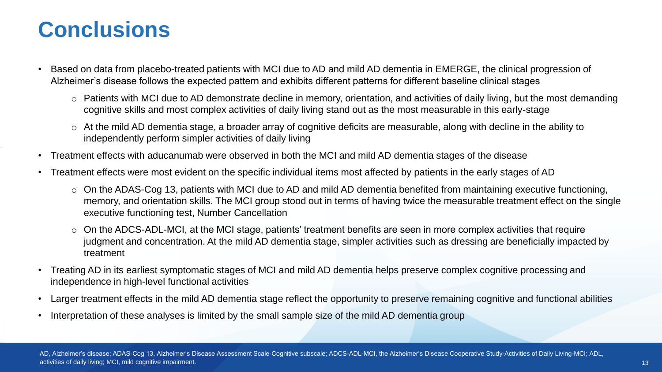### **Conclusions**

- Based on data from placebo-treated patients with MCI due to AD and mild AD dementia in EMERGE, the clinical progression of Alzheimer's disease follows the expected pattern and exhibits different patterns for different baseline clinical stages
	- o Patients with MCI due to AD demonstrate decline in memory, orientation, and activities of daily living, but the most demanding cognitive skills and most complex activities of daily living stand out as the most measurable in this early-stage
	- o At the mild AD dementia stage, a broader array of cognitive deficits are measurable, along with decline in the ability to independently perform simpler activities of daily living
- Treatment effects with aducanumab were observed in both the MCI and mild AD dementia stages of the disease
- Treatment effects were most evident on the specific individual items most affected by patients in the early stages of AD
	- $\circ$  On the ADAS-Cog 13, patients with MCI due to AD and mild AD dementia benefited from maintaining executive functioning, memory, and orientation skills. The MCI group stood out in terms of having twice the measurable treatment effect on the single executive functioning test, Number Cancellation
	- o On the ADCS-ADL-MCI, at the MCI stage, patients' treatment benefits are seen in more complex activities that require judgment and concentration. At the mild AD dementia stage, simpler activities such as dressing are beneficially impacted by treatment
- Treating AD in its earliest symptomatic stages of MCI and mild AD dementia helps preserve complex cognitive processing and independence in high-level functional activities
- Larger treatment effects in the mild AD dementia stage reflect the opportunity to preserve remaining cognitive and functional abilities
- Interpretation of these analyses is limited by the small sample size of the mild AD dementia group